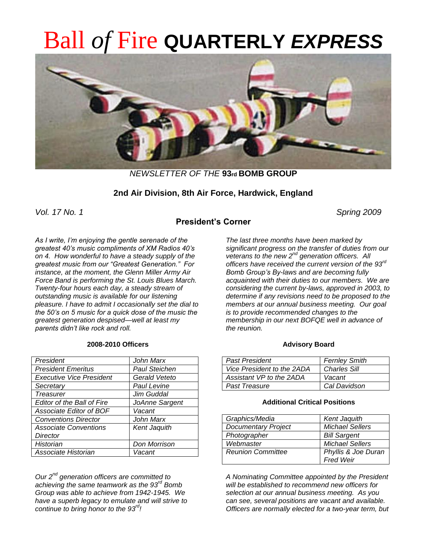# Ball *of* Fire **QUARTERLY** *EXPRESS*



*NEWSLETTER OF THE* **93rd BOMB GROUP**

# **2nd Air Division, 8th Air Force, Hardwick, England**

*Vol. 17 No. 1 Spring 2009*

# **President's Corner**

*As I write, I'm enjoying the gentle serenade of the greatest 40's music compliments of XM Radios 40's on 4. How wonderful to have a steady supply of the greatest music from our "Greatest Generation." For instance, at the moment, the Glenn Miller Army Air Force Band is performing the St. Louis Blues March. Twenty-four hours each day, a steady stream of outstanding music is available for our listening pleasure. I have to admit I occasionally set the dial to the 50's on 5 music for a quick dose of the music the greatest generation despised—well at least my parents didn't like rock and roll.*

#### **2008-2010 Officers**

| President                         | John Marx            |
|-----------------------------------|----------------------|
| <b>President Emeritus</b>         | <b>Paul Steichen</b> |
| <b>Executive Vice President</b>   | Gerald Veteto        |
| Secretary                         | Paul Levine          |
| <b>Treasurer</b>                  | Jim Guddal           |
| <b>Editor of the Ball of Fire</b> | JoAnne Sargent       |
| Associate Editor of BOF           | Vacant               |
| <b>Conventions Director</b>       | John Marx            |
| <b>Associate Conventions</b>      | <b>Kent Jaquith</b>  |
| Director                          |                      |
| Historian                         | Don Morrison         |
| Associate Historian               | Vacant               |

*Our 2nd generation officers are committed to achieving the same teamwork as the 93rd Bomb Group was able to achieve from 1942-1945. We have a superb legacy to emulate and will strive to continue to bring honor to the 93rd!* 

*The last three months have been marked by significant progress on the transfer of duties from our veterans to the new 2nd generation officers. All officers have received the current version of the 93rd Bomb Group's By-laws and are becoming fully acquainted with their duties to our members. We are considering the current by-laws, approved in 2003, to determine if any revisions need to be proposed to the members at our annual business meeting. Our goal is to provide recommended changes to the membership in our next BOFQE well in advance of the reunion.* 

#### **Advisory Board**

| <b>Past President</b>      | <b>Fernley Smith</b> |
|----------------------------|----------------------|
| Vice President to the 2ADA | <b>Charles Sill</b>  |
| Assistant VP to the 2ADA   | Vacant               |
| <b>Past Treasure</b>       | Cal Davidson         |

#### **Additional Critical Positions**

| Graphics/Media             | <b>Kent Jaquith</b>    |
|----------------------------|------------------------|
| <b>Documentary Project</b> | <b>Michael Sellers</b> |
| Photographer               | <b>Bill Sargent</b>    |
| Webmaster                  | <b>Michael Sellers</b> |
| <b>Reunion Committee</b>   | Phyllis & Joe Duran    |
|                            | <b>Fred Weir</b>       |

*A Nominating Committee appointed by the President will be established to recommend new officers for selection at our annual business meeting. As you can see, several positions are vacant and available. Officers are normally elected for a two-year term, but*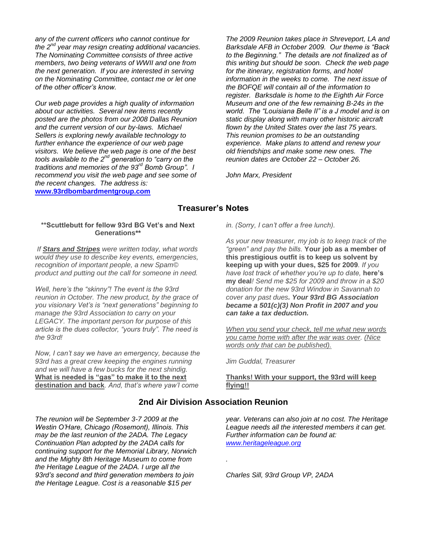*any of the current officers who cannot continue for the 2nd year may resign creating additional vacancies. The Nominating Committee consists of three active members, two being veterans of WWII and one from the next generation. If you are interested in serving on the Nominating Committee, contact me or let one of the other officer's know.*

*Our web page provides a high quality of information about our activities. Several new items recently posted are the photos from our 2008 Dallas Reunion and the current version of our by-laws. Michael Sellers is exploring newly available technology to further enhance the experience of our web page visitors. We believe the web page is one of the best tools available to the 2nd generation to "carry on the traditions and memories of the 93rd Bomb Group". I recommend you visit the web page and see some of the recent changes. The address is:*  **[www.93rdbombardmentgroup.com](http://www.93rdbombardmentgroup.com/)**

*The 2009 Reunion takes place in Shreveport, LA and Barksdale AFB in October 2009. Our theme is "Back to the Beginning." The details are not finalized as of this writing but should be soon. Check the web page for the itinerary, registration forms, and hotel information in the weeks to come. The next issue of the BOFQE will contain all of the information to register. Barksdale is home to the Eighth Air Force Museum and one of the few remaining B-24s in the world. The "Louisiana Belle II" is a J model and is on static display along with many other historic aircraft flown by the United States over the last 75 years. This reunion promises to be an outstanding experience. Make plans to attend and renew your old friendships and make some new ones. The reunion dates are October 22 – October 26.*

*John Marx, President*

#### **Treasurer's Notes**

#### **\*\*Scuttlebutt for fellow 93rd BG Vet's and Next Generations\*\***

*If Stars and Stripes were written today, what words would they use to describe key events, emergencies, recognition of important people, a new Spam© product and putting out the call for someone in need.* 

*Well, here's the "skinny"! The event is the 93rd reunion in October. The new product, by the grace of you visionary Vet's is "next generations" beginning to manage the 93rd Association to carry on your LEGACY. The important person for purpose of this article is the dues collector, "yours truly". The need is the 93rd!*

*Now, I can't say we have an emergency, because the 93rd has a great crew keeping the engines running and we will have a few bucks for the next shindig.*  **What is needed is "gas" to make it to the next destination and back***. And, that's where yaw'l come* 

*in. (Sorry, I can't offer a free lunch).* 

*As your new treasurer, my job is to keep track of the "green" and pay the bills.* **Your job as a member of this prestigious outfit is to keep us solvent by keeping up with your dues, \$25 for 2009***. If you have lost track of whether you're up to date,* **here's my deal***! Send me \$25 for 2009 and throw in a \$20 donation for the new 93rd Window in Savannah to cover any past dues. Your 93rd BG Association became a 501(c)(3) Non Profit in 2007 and you can take a tax deduction.*

*When you send your check, tell me what new words you came home with after the war was over. (Nice words only that can be published).* 

*Jim Guddal, Treasurer*

**Thanks! With your support, the 93rd will keep flying!!**

#### **2nd Air Division Association Reunion**

*.*

*year. Veterans can also join at no cost. The Heritage League needs all the interested members it can get. Further information can be found at: [www.heritageleague.org](http://www.heritageleague.org/)*

*Charles Sill, 93rd Group VP, 2ADA*

*The reunion will be September 3-7 2009 at the Westin O'Hare, Chicago (Rosemont), Illinois. This may be the last reunion of the 2ADA. The Legacy Continuation Plan adopted by the 2ADA calls for continuing support for the Memorial Library, Norwich and the Mighty 8th Heritage Museum to come from the Heritage League of the 2ADA. I urge all the 93rd's second and third generation members to join the Heritage League. Cost is a reasonable \$15 per*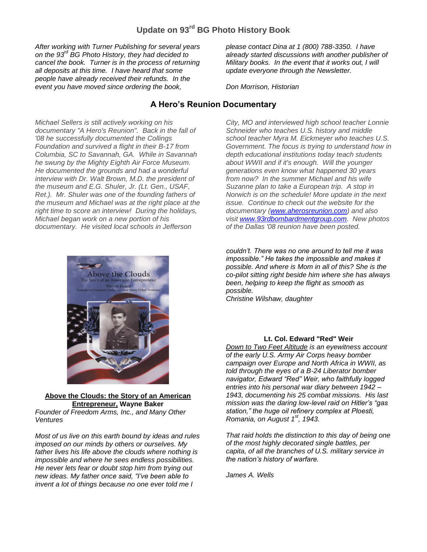# **Update on 93rd BG Photo History Book**

*After working with Turner Publishing for several years on the 93rd BG Photo History, they had decided to cancel the book. Turner is in the process of returning all deposits at this time. I have heard that some people have already received their refunds. In the event you have moved since ordering the book,* 

*Michael Sellers is still actively working on his documentary "A Hero's Reunion". Back in the fall of '08 he successfully documented the Collings Foundation and survived a flight in their B-17 from Columbia, SC to Savannah, GA. While in Savannah he swung by the Mighty Eighth Air Force Museum. He documented the grounds and had a wonderful interview with Dr. Walt Brown, M.D. the president of the museum and E.G. Shuler, Jr. (Lt. Gen., USAF, Ret.). Mr. Shuler was one of the founding fathers of the museum and Michael was at the right place at the right time to score an interview! During the holidays, Michael began work on a new portion of his documentary. He visited local schools in Jefferson* 



#### **Above the Clouds: the Story of an American Entrepreneur, Wayne Baker**

*Founder of Freedom Arms, Inc., and Many Other Ventures*

*Most of us live on this earth bound by ideas and rules imposed on our minds by others or ourselves. My father lives his life above the clouds where nothing is impossible and where he sees endless possibilities. He never lets fear or doubt stop him from trying out new ideas. My father once said, "I've been able to invent a lot of things because no one ever told me I* 

*please contact Dina at 1 (800) 788-3350. I have already started discussions with another publisher of Military books. In the event that it works out, I will update everyone through the Newsletter.*

*Don Morrison, Historian*

# **A Hero's Reunion Documentary**

*City, MO and interviewed high school teacher Lonnie Schneider who teaches U.S. history and middle school teacher Myra M. Eickmeyer who teaches U.S. Government. The focus is trying to understand how in depth educational institutions today teach students about WWII and if it's enough. Will the younger generations even know what happened 30 years from now? In the summer Michael and his wife Suzanne plan to take a European trip. A stop in Norwich is on the schedule! More update in the next issue. Continue to check out the website for the documentary [\(www.aherosreunion.com\)](http://www.aherosreunion.com/) and also visit [www.93rdbombardmentgroup.com.](http://www.93rdbombardmentgroup.com/) New photos of the Dallas '08 reunion have been posted.*

*couldn't. There was no one around to tell me it was impossible." He takes the impossible and makes it possible. And where is Mom in all of this? She is the co-pilot sitting right beside him where she has always been, helping to keep the flight as smooth as possible.* 

*Christine Wilshaw, daughter*

#### **Lt. Col. Edward "Red" Weir**

*Down to Two Feet Altitude is an eyewitness account of the early U.S. Army Air Corps heavy bomber campaign over Europe and North Africa in WWII, as told through the eyes of a B-24 Liberator bomber navigator, Edward "Red" Weir, who faithfully logged entries into his personal war diary between 1942 – 1943, documenting his 25 combat missions. His last mission was the daring low-level raid on Hitler's "gas station," the huge oil refinery complex at Ploesti, Romania, on August 1st, 1943.* 

*That raid holds the distinction to this day of being one of the most highly decorated single battles, per capita, of all the branches of U.S. military service in the nation's history of warfare.*

*James A. Wells*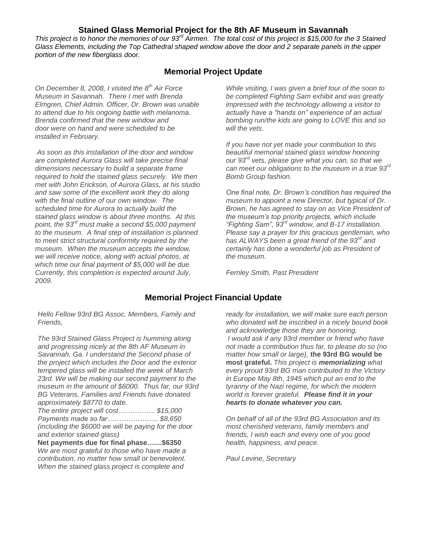# **Stained Glass Memorial Project for the 8th AF Museum in Savannah**

*This project is to honor the memories of our 93rd Airmen. The total cost of this project is \$15,000 for the 3 Stained Glass Elements, including the Top Cathedral shaped window above the door and 2 separate panels in the upper portion of the new fiberglass door.*

# **Memorial Project Update**

*On December 8, 2008, I visited the 8th Air Force Museum in Savannah. There I met with Brenda Elmgren, Chief Admin. Officer, Dr. Brown was unable to attend due to his ongoing battle with melanoma. Brenda confirmed that the new window and door were on hand and were scheduled to be installed in February.*

*As soon as this installation of the door and window are completed Aurora Glass will take precise final dimensions necessary to build a separate frame required to hold the stained glass securely. We then met with John Erickson, of Aurora Glass, at his studio and saw some of the excellent work they do along with the final outline of our own window. The scheduled time for Aurora to actually build the stained glass window is about three months. At this point, the 93rd must make a second \$5,000 payment to the museum. A final step of installation is planned to meet strict structural conformity required by the museum. When the museum accepts the window, we will receive notice, along with actual photos, at which time our final payment of \$5,000 will be due. Currently, this completion is expected around July, 2009.*

*While visiting, I was given a brief tour of the soon to be completed Fighting Sam exhibit and was greatly impressed with the technology allowing a visitor to actually have a "hands on" experience of an actual bombing run/the kids are going to LOVE this and so will the vets.*

*If you have not yet made your contribution to this beautiful memorial stained glass window honoring our 93rd vets, please give what you can, so that we can meet our obligations to the museum in a true 93rd Bomb Group fashion.*

*One final note, Dr. Brown's condition has required the museum to appoint a new Director, but typical of Dr. Brown, he has agreed to stay on as Vice President of the museum's top priority projects, which include "Fighting Sam", 93rd window, and B-17 installation. Please say a prayer for this gracious gentleman, who has ALWAYS been a great friend of the 93rd and certainly has done a wonderful job as President of the museum.*

*Fernley Smith, Past President*

# **Memorial Project Financial Update**

*Hello Fellow 93rd BG Assoc. Members, Family and Friends,*

*The 93rd Stained Glass Project is humming along and progressing nicely at the 8th AF Museum in Savannah, Ga. I understand the Second phase of the project which includes the Door and the exterior tempered glass will be installed the week of March 23rd. We will be making our second payment to the museum in the amount of \$6000. Thus far, our 93rd BG Veterans, Families and Friends have donated approximately \$8770 to date.*

*The entire project will cost……………. \$15,000 Payments made so far…………………. \$8,650 (including the \$6000 we will be paying for the door and exterior stained glass)*

**Net payments due for final phase…....\$6350**  *We are most grateful to those who have made a contribution, no matter how small or benevolent. When the stained glass project is complete and* 

*ready for installation, we will make sure each person who donated will be inscribed in a nicely bound book and acknowledge those they are honoring. I would ask if any 93rd member or friend who have not made a contribution thus far, to please do so (no matter how small or large),* **the 93rd BG would be most grateful.** *This project is memorializing what every proud 93rd BG man contributed to the Victory in Europe May 8th, 1945 which put an end to the tyranny of the Nazi regime, for which the modern world is forever grateful. Please find it in your hearts to donate whatever you can.*

*On behalf of all of the 93rd BG Association and its most cherished veterans, family members and friends, I wish each and every one of you good health, happiness, and peace.*

*Paul Levine, Secretary*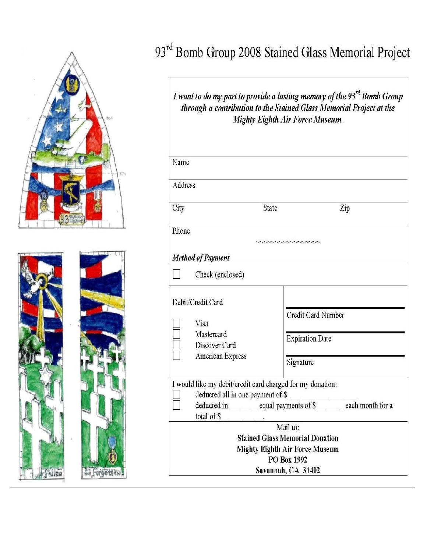

# 93rd Bomb Group 2008 Stained Glass Memorial Project

*I* want to do my part to provide a lasting memory of the 93<sup>rd</sup> Bomb Group through a contribution to the Stained Glass Memorial Project at the Mighty Eighth Air Force Museum.

| Name                                                                                                                                                                            |                                                                              |                                                                  |
|---------------------------------------------------------------------------------------------------------------------------------------------------------------------------------|------------------------------------------------------------------------------|------------------------------------------------------------------|
| Address                                                                                                                                                                         |                                                                              |                                                                  |
| City                                                                                                                                                                            | State                                                                        | Zip                                                              |
| Phone                                                                                                                                                                           |                                                                              | <b>UNIVARIANAINAINA</b>                                          |
| <b>Method of Payment</b>                                                                                                                                                        |                                                                              |                                                                  |
|                                                                                                                                                                                 | Check (enclosed)                                                             |                                                                  |
|                                                                                                                                                                                 | Debit/Credit Card<br>Visa<br>Mastercard<br>Discover Card<br>American Express | <b>Credit Card Number</b><br><b>Expiration Date</b><br>Signature |
| I would like my debit/credit card charged for my donation:<br>deducted all in one payment of \$<br>deducted in equal payments of \$ each month for a<br>total of \$<br>Mail to: |                                                                              |                                                                  |
| <b>Stained Glass Memorial Donation</b><br><b>Mighty Eighth Air Force Museum</b><br>PO Box 1992<br>Savannah, GA 31402                                                            |                                                                              |                                                                  |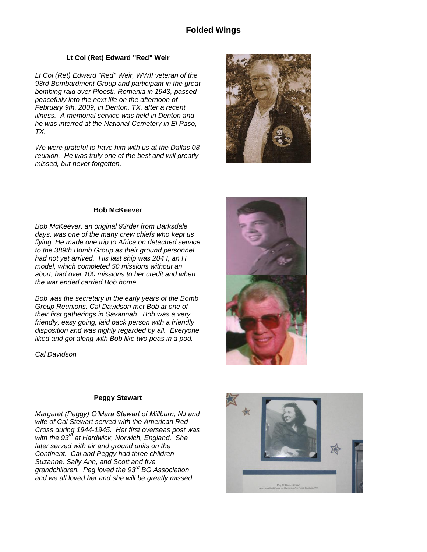# **Folded Wings**

#### **Lt Col (Ret) Edward "Red" Weir**

*Lt Col (Ret) Edward "Red" Weir, WWII veteran of the 93rd Bombardment Group and participant in the great bombing raid over Ploesti, Romania in 1943, passed peacefully into the next life on the afternoon of February 9th, 2009, in Denton, TX, after a recent illness. A memorial service was held in Denton and he was interred at the National Cemetery in El Paso, TX.* 

*We were grateful to have him with us at the Dallas 08 reunion. He was truly one of the best and will greatly missed, but never forgotten.*



#### **Bob McKeever**

*Bob McKeever, an original 93rder from Barksdale days, was one of the many crew chiefs who kept us flying. He made one trip to Africa on detached service to the 389th Bomb Group as their ground personnel had not yet arrived. His last ship was 204 I, an H model, which completed 50 missions without an abort, had over 100 missions to her credit and when the war ended carried Bob home.* 

*Bob was the secretary in the early years of the Bomb Group Reunions. Cal Davidson met Bob at one of their first gatherings in Savannah. Bob was a very friendly, easy going, laid back person with a friendly disposition and was highly regarded by all. Everyone liked and got along with Bob like two peas in a pod.* 

*Cal Davidson*

### **Peggy Stewart**

*Margaret (Peggy) O'Mara Stewart of Millburn, NJ and wife of Cal Stewart served with the American Red Cross during 1944-1945. Her first overseas post was with the 93rd at Hardwick, Norwich, England. She later served with air and ground units on the Continent. Cal and Peggy had three children - Suzanne, Sally Ann, and Scott and five grandchildren. Peg loved the 93rd BG Association and we all loved her and she will be greatly missed.*